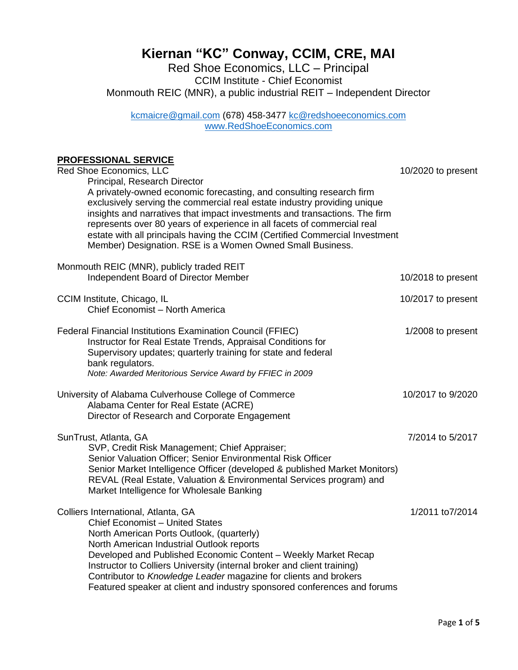## Page **1** of **5**

# **Kiernan "KC" Conway, CCIM, CRE, MAI**

Red Shoe Economics, LLC – Principal CCIM Institute - Chief Economist Monmouth REIC (MNR), a public industrial REIT – Independent Director

[kcmaicre@gmail.com](mailto:kcmaicre@gmail.com) (678) 458-3477 [kc@redshoeeconomics.com](mailto:kc@redshoeeconomics.com) [www.RedShoeEconomics.com](http://www.redshoeeconomics.com/)

#### **PROFESSIONAL SERVICE**

| Red Shoe Economics, LLC<br>Principal, Research Director<br>A privately-owned economic forecasting, and consulting research firm<br>exclusively serving the commercial real estate industry providing unique<br>insights and narratives that impact investments and transactions. The firm<br>represents over 80 years of experience in all facets of commercial real<br>estate with all principals having the CCIM (Certified Commercial Investment<br>Member) Designation. RSE is a Women Owned Small Business. | 10/2020 to present |
|------------------------------------------------------------------------------------------------------------------------------------------------------------------------------------------------------------------------------------------------------------------------------------------------------------------------------------------------------------------------------------------------------------------------------------------------------------------------------------------------------------------|--------------------|
| Monmouth REIC (MNR), publicly traded REIT<br>Independent Board of Director Member                                                                                                                                                                                                                                                                                                                                                                                                                                | 10/2018 to present |
| CCIM Institute, Chicago, IL<br>Chief Economist - North America                                                                                                                                                                                                                                                                                                                                                                                                                                                   | 10/2017 to present |
| <b>Federal Financial Institutions Examination Council (FFIEC)</b><br>Instructor for Real Estate Trends, Appraisal Conditions for<br>Supervisory updates; quarterly training for state and federal<br>bank regulators.<br>Note: Awarded Meritorious Service Award by FFIEC in 2009                                                                                                                                                                                                                                | 1/2008 to present  |
| University of Alabama Culverhouse College of Commerce<br>Alabama Center for Real Estate (ACRE)<br>Director of Research and Corporate Engagement                                                                                                                                                                                                                                                                                                                                                                  | 10/2017 to 9/2020  |
| SunTrust, Atlanta, GA<br>SVP, Credit Risk Management; Chief Appraiser;<br>Senior Valuation Officer; Senior Environmental Risk Officer<br>Senior Market Intelligence Officer (developed & published Market Monitors)<br>REVAL (Real Estate, Valuation & Environmental Services program) and<br>Market Intelligence for Wholesale Banking                                                                                                                                                                          | 7/2014 to 5/2017   |
| Colliers International, Atlanta, GA<br><b>Chief Economist - United States</b><br>North American Ports Outlook, (quarterly)<br>North American Industrial Outlook reports<br>Developed and Published Economic Content - Weekly Market Recap<br>Instructor to Colliers University (internal broker and client training)<br>Contributor to Knowledge Leader magazine for clients and brokers<br>Featured speaker at client and industry sponsored conferences and forums                                             | 1/2011 to7/2014    |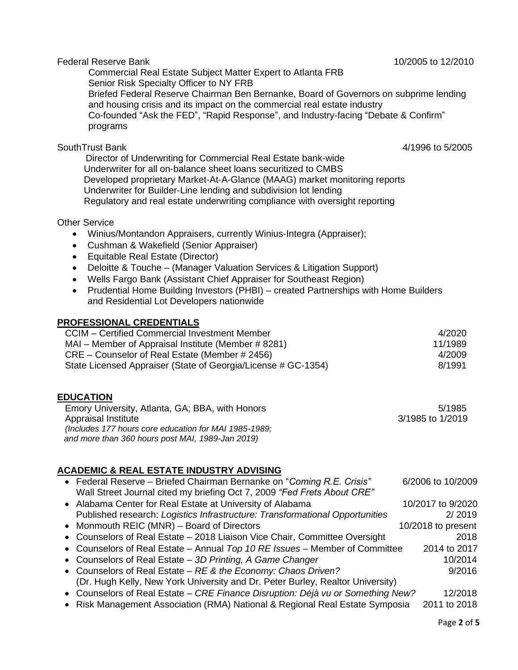#### Federal Reserve Bank 10/2005 to 12/2010

 Commercial Real Estate Subject Matter Expert to Atlanta FRB Senior Risk Specialty Officer to NY FRB Briefed Federal Reserve Chairman Ben Bernanke, Board of Governors on subprime lending and housing crisis and its impact on the commercial real estate industry Co-founded "Ask the FED", "Rapid Response", and Industry-facing "Debate & Confirm" programs

## SouthTrust Bank 4/1996 to 5/2005

 Director of Underwriting for Commercial Real Estate bank-wide Underwriter for all on-balance sheet loans securitized to CMBS Developed proprietary Market-At-A-Glance (MAAG) market monitoring reports Underwriter for Builder-Line lending and subdivision lot lending Regulatory and real estate underwriting compliance with oversight reporting

### Other Service

- Winius/Montandon Appraisers, currently Winius-Integra (Appraiser);
- Cushman & Wakefield (Senior Appraiser)
- Equitable Real Estate (Director)
- Deloitte & Touche (Manager Valuation Services & Litigation Support)
- Wells Fargo Bank (Assistant Chief Appraiser for Southeast Region)
- Prudential Home Building Investors (PHBI) created Partnerships with Home Builders and Residential Lot Developers nationwide

### **PROFESSIONAL CREDENTIALS**

| CCIM – Certified Commercial Investment Member                 | 4/2020  |
|---------------------------------------------------------------|---------|
| MAI – Member of Appraisal Institute (Member # 8281)           | 11/1989 |
| CRE – Counselor of Real Estate (Member # 2456)                | 4/2009  |
| State Licensed Appraiser (State of Georgia/License # GC-1354) | 8/1991  |

## **EDUCATION**

| Emory University, Atlanta, GA; BBA, with Honors       | 5/1985           |
|-------------------------------------------------------|------------------|
| Appraisal Institute                                   | 3/1985 to 1/2019 |
| (Includes 177 hours core education for MAI 1985-1989; |                  |
| and more than 360 hours post MAI, 1989-Jan 2019)      |                  |

# **ACADEMIC & REAL ESTATE INDUSTRY ADVISING**

| • Federal Reserve - Briefed Chairman Bernanke on "Coming R.E. Crisis"           | 6/2006 to 10/2009  |
|---------------------------------------------------------------------------------|--------------------|
| Wall Street Journal cited my briefing Oct 7, 2009 "Fed Frets About CRE"         |                    |
| • Alabama Center for Real Estate at University of Alabama                       | 10/2017 to 9/2020  |
| Published research: Logistics Infrastructure: Transformational Opportunities    | 2/2019             |
| • Monmouth REIC (MNR) – Board of Directors                                      | 10/2018 to present |
| • Counselors of Real Estate - 2018 Liaison Vice Chair, Committee Oversight      | 2018               |
| • Counselors of Real Estate – Annual Top 10 RE Issues – Member of Committee     | 2014 to 2017       |
| • Counselors of Real Estate - 3D Printing, A Game Changer                       | 10/2014            |
| • Counselors of Real Estate - RE & the Economy: Chaos Driven?                   | 9/2016             |
| (Dr. Hugh Kelly, New York University and Dr. Peter Burley, Realtor University)  |                    |
| • Counselors of Real Estate - CRE Finance Disruption: Déjà vu or Something New? | 12/2018            |
| • Risk Management Association (RMA) National & Regional Real Estate Symposia    | 2011 to 2018       |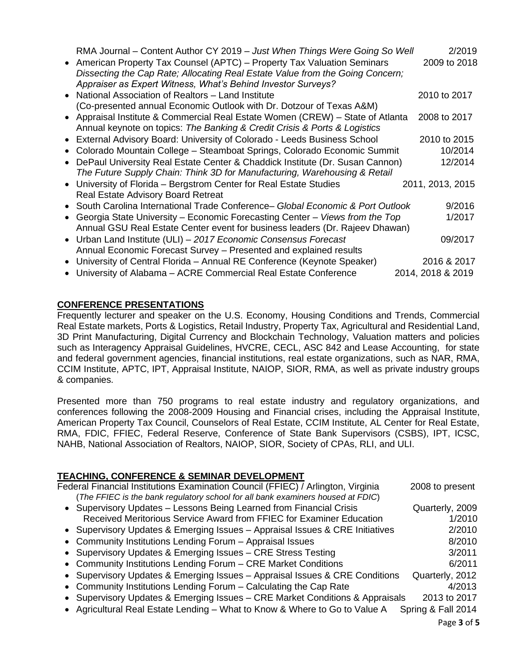| RMA Journal - Content Author CY 2019 - Just When Things Were Going So Well<br>• American Property Tax Counsel (APTC) – Property Tax Valuation Seminars<br>Dissecting the Cap Rate; Allocating Real Estate Value from the Going Concern; | 2/2019<br>2009 to 2018 |
|-----------------------------------------------------------------------------------------------------------------------------------------------------------------------------------------------------------------------------------------|------------------------|
| Appraiser as Expert Witness, What's Behind Investor Surveys?<br>• National Association of Realtors - Land Institute                                                                                                                     | 2010 to 2017           |
| (Co-presented annual Economic Outlook with Dr. Dotzour of Texas A&M)<br>• Appraisal Institute & Commercial Real Estate Women (CREW) - State of Atlanta<br>Annual keynote on topics: The Banking & Credit Crisis & Ports & Logistics     | 2008 to 2017           |
| • External Advisory Board: University of Colorado - Leeds Business School                                                                                                                                                               | 2010 to 2015           |
| Colorado Mountain College - Steamboat Springs, Colorado Economic Summit<br>$\bullet$                                                                                                                                                    | 10/2014                |
| DePaul University Real Estate Center & Chaddick Institute (Dr. Susan Cannon)                                                                                                                                                            | 12/2014                |
| The Future Supply Chain: Think 3D for Manufacturing, Warehousing & Retail                                                                                                                                                               |                        |
| • University of Florida - Bergstrom Center for Real Estate Studies                                                                                                                                                                      | 2011, 2013, 2015       |
| Real Estate Advisory Board Retreat                                                                                                                                                                                                      |                        |
| • South Carolina International Trade Conference - Global Economic & Port Outlook                                                                                                                                                        | 9/2016                 |
| • Georgia State University – Economic Forecasting Center – Views from the Top                                                                                                                                                           | 1/2017                 |
| Annual GSU Real Estate Center event for business leaders (Dr. Rajeev Dhawan)                                                                                                                                                            |                        |
| • Urban Land Institute (ULI) - 2017 Economic Consensus Forecast                                                                                                                                                                         | 09/2017                |
| Annual Economic Forecast Survey - Presented and explained results                                                                                                                                                                       |                        |
| • University of Central Florida - Annual RE Conference (Keynote Speaker)                                                                                                                                                                | 2016 & 2017            |
| • University of Alabama - ACRE Commercial Real Estate Conference                                                                                                                                                                        | 2014, 2018 & 2019      |

## **CONFERENCE PRESENTATIONS**

Frequently lecturer and speaker on the U.S. Economy, Housing Conditions and Trends, Commercial Real Estate markets, Ports & Logistics, Retail Industry, Property Tax, Agricultural and Residential Land, 3D Print Manufacturing, Digital Currency and Blockchain Technology, Valuation matters and policies such as Interagency Appraisal Guidelines, HVCRE, CECL, ASC 842 and Lease Accounting, for state and federal government agencies, financial institutions, real estate organizations, such as NAR, RMA, CCIM Institute, APTC, IPT, Appraisal Institute, NAIOP, SIOR, RMA, as well as private industry groups & companies.

Presented more than 750 programs to real estate industry and regulatory organizations, and conferences following the 2008-2009 Housing and Financial crises, including the Appraisal Institute, American Property Tax Council, Counselors of Real Estate, CCIM Institute, AL Center for Real Estate, RMA, FDIC, FFIEC, Federal Reserve, Conference of State Bank Supervisors (CSBS), IPT, ICSC, NAHB, National Association of Realtors, NAIOP, SIOR, Society of CPAs, RLI, and ULI.

# **TEACHING, CONFERENCE & SEMINAR DEVELOPMENT**

| Federal Financial Institutions Examination Council (FFIEC) / Arlington, Virginia | 2008 to present    |
|----------------------------------------------------------------------------------|--------------------|
| (The FFIEC is the bank regulatory school for all bank examiners housed at FDIC)  |                    |
| • Supervisory Updates - Lessons Being Learned from Financial Crisis              | Quarterly, 2009    |
| Received Meritorious Service Award from FFIEC for Examiner Education             | 1/2010             |
| • Supervisory Updates & Emerging Issues - Appraisal Issues & CRE Initiatives     | 2/2010             |
| • Community Institutions Lending Forum - Appraisal Issues                        | 8/2010             |
| • Supervisory Updates & Emerging Issues - CRE Stress Testing                     | 3/2011             |
| • Community Institutions Lending Forum - CRE Market Conditions                   | 6/2011             |
| • Supervisory Updates & Emerging Issues - Appraisal Issues & CRE Conditions      | Quarterly, 2012    |
| • Community Institutions Lending Forum – Calculating the Cap Rate                | 4/2013             |
| • Supervisory Updates & Emerging Issues – CRE Market Conditions & Appraisals     | 2013 to 2017       |
| • Agricultural Real Estate Lending - What to Know & Where to Go to Value A       | Spring & Fall 2014 |
|                                                                                  |                    |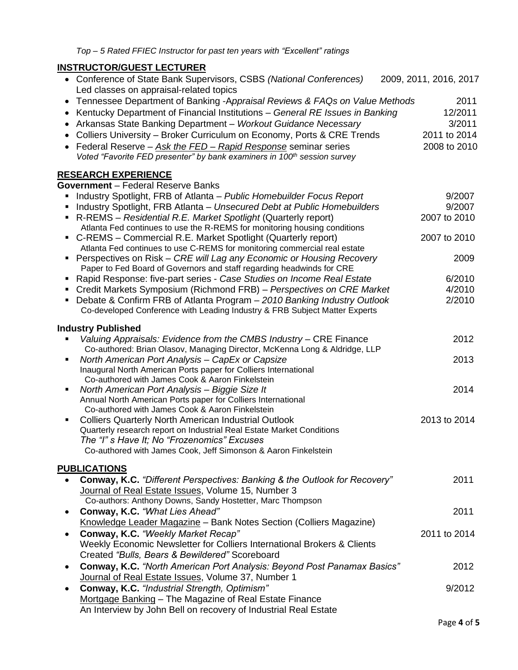Co-developed Conference with Leading Industry & FRB Subject Matter Experts

# **INSTRUCTOR/GUEST LECTURER**

| INSI KUCTUR/GUESI LECTURER                                                                                                                      |                        |
|-------------------------------------------------------------------------------------------------------------------------------------------------|------------------------|
| • Conference of State Bank Supervisors, CSBS (National Conferences)<br>Led classes on appraisal-related topics                                  | 2009, 2011, 2016, 2017 |
| • Tennessee Department of Banking -Appraisal Reviews & FAQs on Value Methods                                                                    | 2011                   |
| Kentucky Department of Financial Institutions - General RE Issues in Banking                                                                    | 12/2011                |
| Arkansas State Banking Department - Workout Guidance Necessary                                                                                  | 3/2011                 |
| Colliers University – Broker Curriculum on Economy, Ports & CRE Trends<br>$\bullet$                                                             | 2011 to 2014           |
| Federal Reserve - Ask the FED - Rapid Response seminar series                                                                                   | 2008 to 2010           |
| Voted "Favorite FED presenter" by bank examiners in 100 <sup>th</sup> session survey                                                            |                        |
| <u>RESEARCH EXPERIENCE</u>                                                                                                                      |                        |
| <b>Government</b> - Federal Reserve Banks                                                                                                       |                        |
| Industry Spotlight, FRB of Atlanta – Public Homebuilder Focus Report<br>٠                                                                       | 9/2007                 |
| Industry Spotlight, FRB Atlanta - Unsecured Debt at Public Homebuilders                                                                         | 9/2007                 |
| R-REMS – Residential R.E. Market Spotlight (Quarterly report)                                                                                   | 2007 to 2010           |
| Atlanta Fed continues to use the R-REMS for monitoring housing conditions                                                                       |                        |
| • C-REMS – Commercial R.E. Market Spotlight (Quarterly report)                                                                                  | 2007 to 2010           |
| Atlanta Fed continues to use C-REMS for monitoring commercial real estate                                                                       |                        |
| • Perspectives on Risk – CRE will Lag any Economic or Housing Recovery<br>Paper to Fed Board of Governors and staff regarding headwinds for CRE | 2009                   |
| Rapid Response: five-part series - Case Studies on Income Real Estate                                                                           | 6/2010                 |
| Credit Markets Symposium (Richmond FRB) – Perspectives on CRE Market                                                                            | 4/2010                 |
| Debate & Confirm FRB of Atlanta Program - 2010 Banking Industry Outlook                                                                         | 2/2010                 |

### **Industry Published**

|                | Valuing Appraisals: Evidence from the CMBS Industry - CRE Finance                                                             | 2012         |
|----------------|-------------------------------------------------------------------------------------------------------------------------------|--------------|
| ٠              | Co-authored: Brian Olasov, Managing Director, McKenna Long & Aldridge, LLP<br>North American Port Analysis - CapEx or Capsize | 2013         |
|                | Inaugural North American Ports paper for Colliers International                                                               |              |
|                | Co-authored with James Cook & Aaron Finkelstein                                                                               |              |
| ٠              | North American Port Analysis - Biggie Size It                                                                                 | 2014         |
|                | Annual North American Ports paper for Colliers International                                                                  |              |
|                | Co-authored with James Cook & Aaron Finkelstein                                                                               |              |
| $\blacksquare$ | <b>Colliers Quarterly North American Industrial Outlook</b>                                                                   | 2013 to 2014 |
|                | Quarterly research report on Industrial Real Estate Market Conditions                                                         |              |
|                | The "I" s Have It; No "Frozenomics" Excuses                                                                                   |              |
|                | Co-authored with James Cook, Jeff Simonson & Aaron Finkelstein                                                                |              |
|                | <b>PUBLICATIONS</b>                                                                                                           |              |
| $\bullet$      | <b>Conway, K.C.</b> "Different Perspectives: Banking & the Outlook for Recovery"                                              | 2011         |
|                | Journal of Real Estate Issues, Volume 15, Number 3                                                                            |              |
|                | Co-authors: Anthony Downs, Sandy Hostetter, Marc Thompson                                                                     |              |
| $\bullet$      | Conway, K.C. "What Lies Ahead"                                                                                                | 2011         |
|                | Knowledge Leader Magazine - Bank Notes Section (Colliers Magazine)                                                            |              |
| $\bullet$      | Conway, K.C. "Weekly Market Recap"                                                                                            | 2011 to 2014 |
|                | Weekly Economic Newsletter for Colliers International Brokers & Clients                                                       |              |
|                | Created "Bulls, Bears & Bewildered" Scoreboard                                                                                |              |
| $\bullet$      | Conway, K.C. "North American Port Analysis: Beyond Post Panamax Basics"                                                       | 2012         |
|                | Journal of Real Estate Issues, Volume 37, Number 1                                                                            |              |
| $\bullet$      | Conway, K.C. "Industrial Strength, Optimism"                                                                                  | 9/2012       |
|                | Mortgage Banking - The Magazine of Real Estate Finance                                                                        |              |
|                | An Interview by John Bell on recovery of Industrial Real Estate                                                               |              |